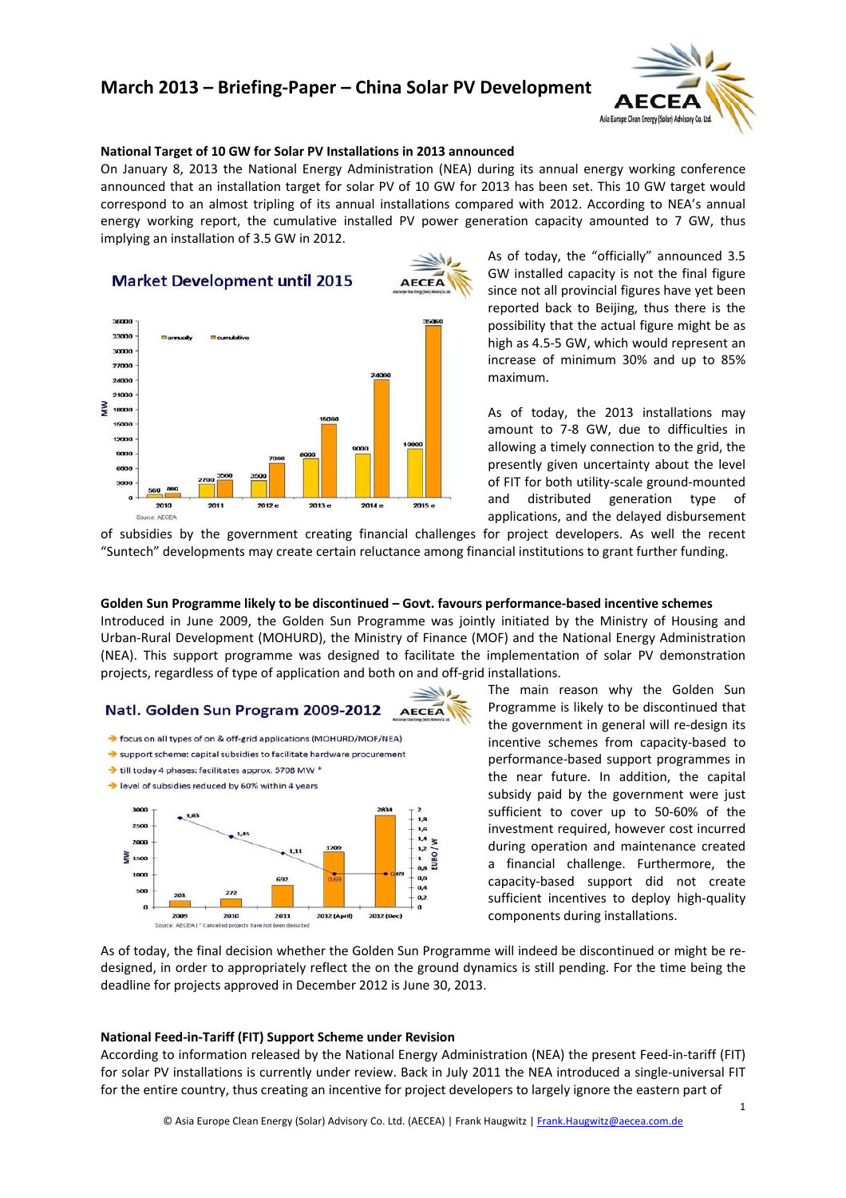# **March 2013 – Briefing‐Paper – China Solar PV Development**



### **National Target of 10 GW for Solar PV Installations in 2013 announced**

On January 8, 2013 the National Energy Administration (NEA) during its annual energy working conference announced that an installation target for solar PV of 10 GW for 2013 has been set. This 10 GW target would correspond to an almost tripling of its annual installations compared with 2012. According to NEA's annual energy working report, the cumulative installed PV power generation capacity amounted to 7 GW, thus implying an installation of 3.5 GW in 2012.



As of today, the "officially" announced 3.5 GW installed capacity is not the final figure since not all provincial figures have yet been reported back to Beijing, thus there is the possibility that the actual figure might be as high as 4.5‐5 GW, which would represent an increase of minimum 30% and up to 85% maximum.

As of today, the 2013 installations may amount to 7‐8 GW, due to difficulties in allowing a timely connection to the grid, the presently given uncertainty about the level of FIT for both utility‐scale ground‐mounted and distributed generation type of applications, and the delayed disbursement

of subsidies by the government creating financial challenges for project developers. As well the recent "Suntech" developments may create certain reluctance among financial institutions to grant further funding.

### **Golden Sun Programme likely to be discontinued – Govt. favours performance‐based incentive schemes**

projects, regardless of type of application and both on and off‐grid installations. Introduced in June 2009, the Golden Sun Programme was jointly initiated by the Ministry of Housing and Urban‐Rural Development (MOHURD), the Ministry of Finance (MOF) and the National Energy Administration (NEA). This support programme was designed to facilitate the implementation of solar PV demonstration

#### Natl. Golden Sun Program 2009-2012 **AECEA**

- > focus on all types of on & off-grid applications (MOHURD/MOF/NEA)
- Support scheme: capital subsidies to facilitate hardware procurement
- till today 4 phases: facilitates approx. 5708 MW \* level of subsidies reduced by 60% within 4 years



The main reason why the Golden Sun sufficient incentives to deploy high-quality Programme is likely to be discontinued that the government in general will re‐design its incentive schemes from capacity‐based to performance‐based support programmes in the near future. In addition, the capital subsidy paid by the government were just sufficient to cover up to 50‐60% of the investment required, however cost incurred during operation and maintenance created a financial challenge. Furthermore, the capacity‐based support did not create components during installations.

As of today, the final decision whether the Golden Sun Programme will indeed be discontinued or might be redesigned, in order to appropriately reflect the on the ground dynamics is still pending. For the time being the deadline for projects approved in December 2012 is June 30, 2013.

### **ational Feed‐in‐Tariff (FIT) Support Scheme under Revision N**

According to information released by the National Energy Administration (NEA) the present Feed-in-tariff (FIT) for solar PV installations is currently under review. Back in July 2011 the NEA introduced a single-universal FIT for the entire country, thus creating an incentive for project developers to largely ignore the eastern part of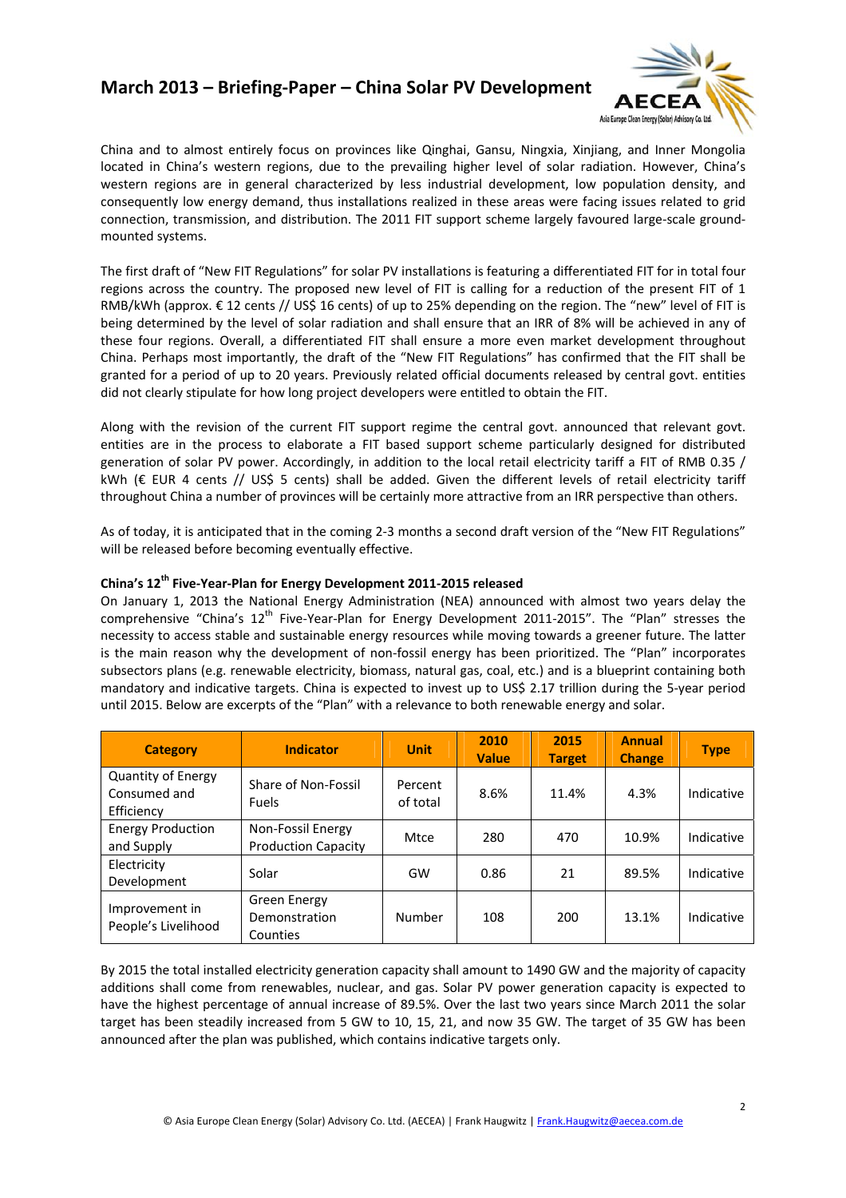## **March 2013 – Briefing‐Paper – China Solar PV Development**



western regions are in general characterized by less industrial development, low population density, and consequently low energy demand, thus installations realized in these areas were facing issues related to grid China and to almost entirely focus on provinces like Qinghai, Gansu, Ningxia, Xinjiang, and Inner Mongolia located in China's western regions, due to the prevailing higher level of solar radiation. However, China's connection, transmission, and distribution. The 2011 FIT support scheme largely favoured large-scale groundmounted systems.

RMB/kWh (approx. € 12 cents // US\$ 16 cents) of up to 25% depending on the region. The "new" level of FIT is being determined by the level of solar radiation and shall ensure that an IRR of 8% will be achieved in any of The first draft of "New FIT Regulations" for solar PV installations is featuring a differentiated FIT for in total four regions across the country. The proposed new level of FIT is calling for a reduction of the present FIT of 1 these four regions. Overall, a differentiated FIT shall ensure a more even market development throughout China. Perhaps most importantly, the draft of the "New FIT Regulations" has confirmed that the FIT shall be granted for a period of up to 20 years. Previously related official documents released by central govt. entities did not clearly stipulate for how long project developers were entitled to obtain the FIT.

generation of solar PV power. Accordingly, in addition to the local retail electricity tariff a FIT of RMB 0.35 / Wh (€ EUR 4 cents // US\$ 5 cents) shall be added. Given the different levels of retail electricity tariff k Along with the revision of the current FIT support regime the central govt. announced that relevant govt. entities are in the process to elaborate a FIT based support scheme particularly designed for distributed throughout China a number of provinces will be certainly more attractive from an IRR perspective than others.

As of today, it is anticipated that in the coming 2‐3 months a second draft version of the "New FIT Regulations" will be released before becoming eventually effective.

### **hina's 12th Five‐Year‐Plan for Energy Development 2011‐2015 released C**

comprehensive "China's 12<sup>th</sup> Five-Year-Plan for Energy Development 2011-2015". The "Plan" stresses the necessity to access stable and sustainable energy resources while moving towards a greener future. The latter is the main reason why the development of non-fossil energy has been prioritized. The "Plan" incorporates On January 1, 2013 the National Energy Administration (NEA) announced with almost two years delay the subsectors plans (e.g. renewable electricity, biomass, natural gas, coal, etc.) and is a blueprint containing both mandatory and indicative targets. China is expected to invest up to US\$ 2.17 trillion during the 5‐year period until 2015. Below are excerpts of the "Plan" with a relevance to both renewable energy and solar.

| <b>Category</b>                                  | <b>Indicator</b>                                | <b>Unit</b>         | 2010<br><b>Value</b> | 2015<br><b>Target</b> | <b>Annual</b><br><b>Change</b> | <b>Type</b> |
|--------------------------------------------------|-------------------------------------------------|---------------------|----------------------|-----------------------|--------------------------------|-------------|
| Quantity of Energy<br>Consumed and<br>Efficiency | Share of Non-Fossil<br><b>Fuels</b>             | Percent<br>of total | 8.6%                 | 11.4%                 | 4.3%                           | Indicative  |
| <b>Energy Production</b><br>and Supply           | Non-Fossil Energy<br><b>Production Capacity</b> | Mtce                | 280                  | 470                   | 10.9%                          | Indicative  |
| Electricity<br>Development                       | Solar                                           | GW                  | 0.86                 | 21                    | 89.5%                          | Indicative  |
| Improvement in<br>People's Livelihood            | Green Energy<br>Demonstration<br>Counties       | Number              | 108                  | 200                   | 13.1%                          | Indicative  |

By 2015 the total installed electricity generation capacity shall amount to 1490 GW and the majority of capacity additions shall come from renewables, nuclear, and gas. Solar PV power generation capacity is expected to have the highest percentage of annual increase of 89.5%. Over the last two years since March 2011 the solar target has been steadily increased from 5 GW to 10, 15, 21, and now 35 GW. The target of 35 GW has been announced after the plan was published, which contains indicative targets only.